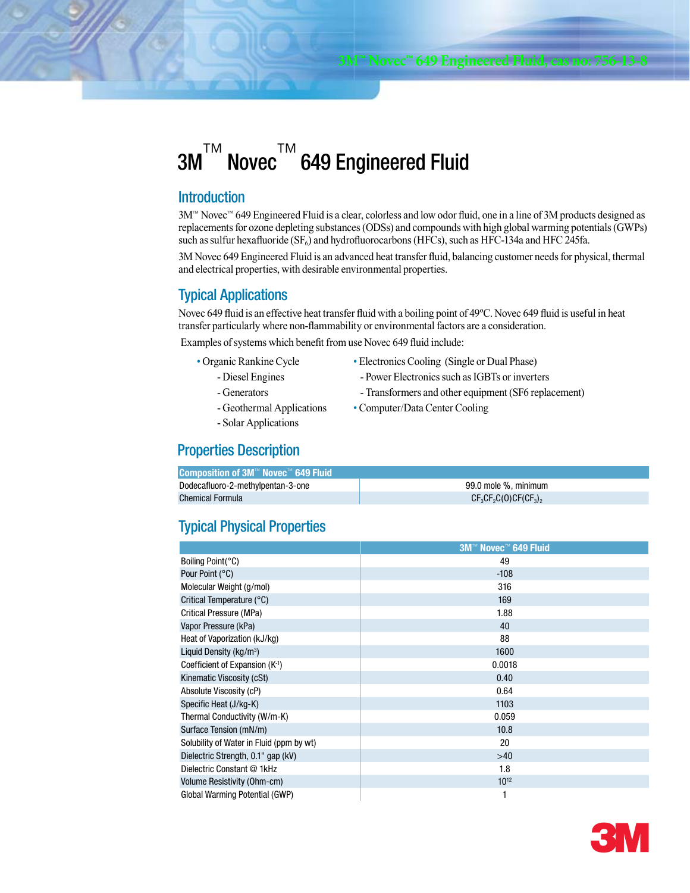#### 3M ™ Novec ™ 649 Engineered Fluid

#### **Introduction**

3M™ Novec™ 649 Engineered Fluid is a clear, colorless and low odor fluid, one in a line of 3M products designed as replacements for ozone depleting substances (ODSs) and compounds with high global warming potentials (GWPs) such as sulfur hexafluoride  $(SF_6)$  and hydrofluorocarbons (HFCs), such as HFC-134a and HFC 245fa.

3M Novec 649 Engineered Fluid is an advanced heat transfer fluid, balancing customer needs for physical, thermal and electrical properties, with desirable environmental properties.

### Typical Applications

Novec 649 fluid is an effective heat transfer fluid with a boiling point of 49ºC. Novec 649 fluid is useful in heat transfer particularly where non-flammability or environmental factors are a consideration.

Examples of systems which benefit from use Novec 649 fluid include:

- Organic Rankine Cycle
	- Diesel Engines
	- Generators
- Electronics Cooling (Single or Dual Phase) - Power Electronics such as IGBTs or inverters
- Transformers and other equipment (SF6 replacement)
- Computer/Data Center Cooling
- Geothermal Applications
- Solar Applications

# Properties Description

| <b>Composition of 3M™ Novec™ 649 Fluid</b> |                        |
|--------------------------------------------|------------------------|
| Dodecafluoro-2-methylpentan-3-one          | 99.0 mole %, minimum   |
| <b>Chemical Formula</b>                    | $CF_3CF_2C(0)CF(CF_3)$ |

# Typical Physical Properties

|                                          | 3M™ Novec™ 649 Fluid |  |  |  |
|------------------------------------------|----------------------|--|--|--|
| Boiling Point(°C)                        | 49                   |  |  |  |
| Pour Point (°C)                          | $-108$               |  |  |  |
| Molecular Weight (g/mol)                 | 316                  |  |  |  |
| Critical Temperature (°C)                | 169                  |  |  |  |
| Critical Pressure (MPa)                  | 1.88                 |  |  |  |
| Vapor Pressure (kPa)                     | 40                   |  |  |  |
| Heat of Vaporization (kJ/kg)             | 88                   |  |  |  |
| Liquid Density (kg/m <sup>3</sup> )      | 1600                 |  |  |  |
| Coefficient of Expansion $(K-1)$         | 0.0018               |  |  |  |
| Kinematic Viscosity (cSt)                | 0.40                 |  |  |  |
| Absolute Viscosity (cP)                  | 0.64                 |  |  |  |
| Specific Heat (J/kg-K)                   | 1103                 |  |  |  |
| Thermal Conductivity (W/m-K)             | 0.059                |  |  |  |
| Surface Tension (mN/m)                   | 10.8                 |  |  |  |
| Solubility of Water in Fluid (ppm by wt) | 20                   |  |  |  |
| Dielectric Strength, 0.1" gap (kV)       | $>40$                |  |  |  |
| Dielectric Constant @ 1kHz               | 1.8                  |  |  |  |
| Volume Resistivity (Ohm-cm)              | $10^{12}$            |  |  |  |
| Global Warming Potential (GWP)           |                      |  |  |  |

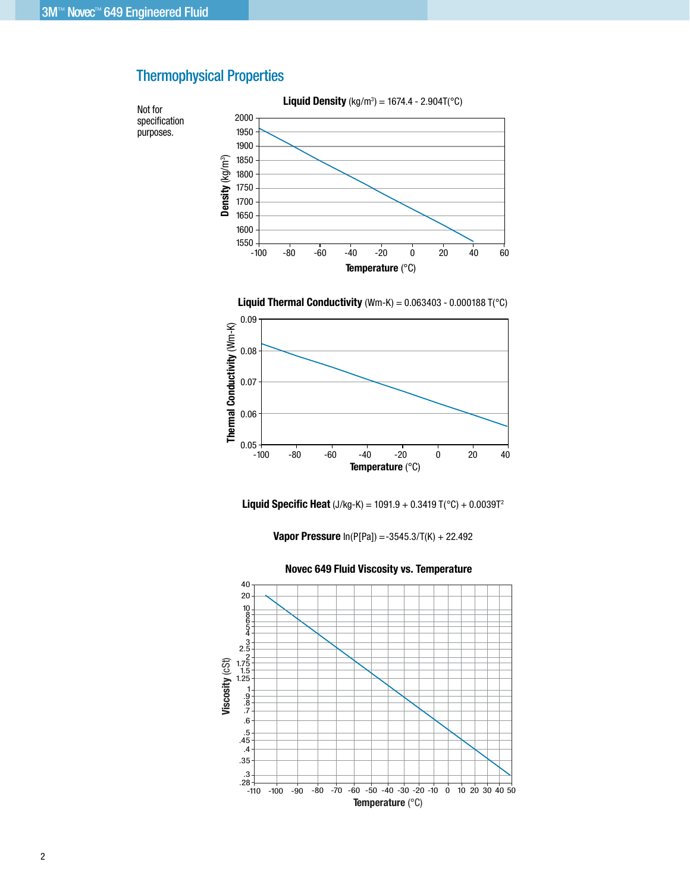

# Thermophysical Properties





**Liquid Specific Heat** (J/kg-K) = 1091.9 + 0.3419 T(°C) + 0.0039T2

**Vapor Pressure** In(P[Pa]) =-3545.3/T(K) + 22.492



**Novec 649 Fluid Viscosity vs. Temperature**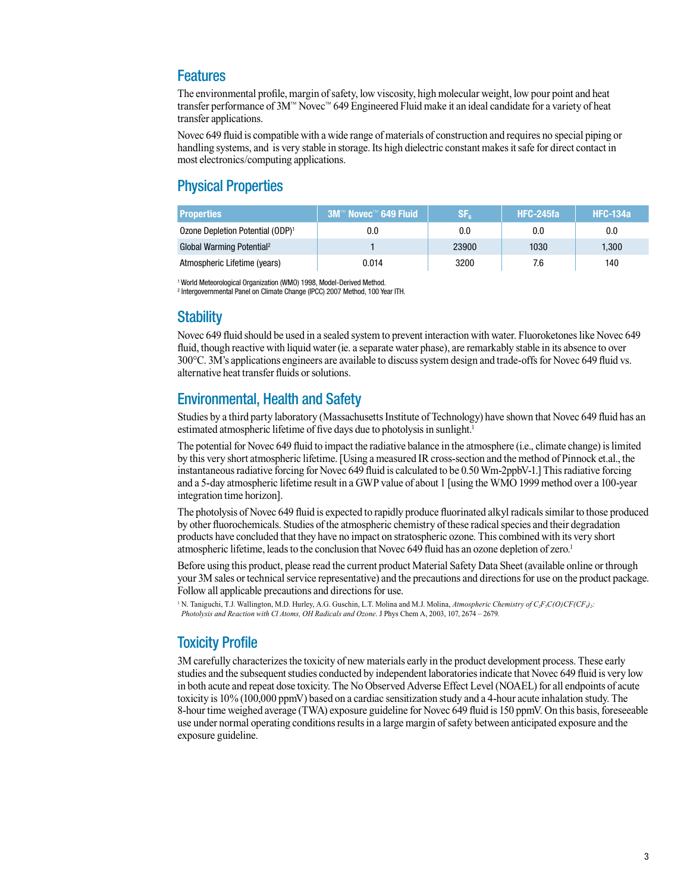### **Features**

The environmental profile, margin of safety, low viscosity, high molecular weight, low pour point and heat transfer performance of 3M™ Novec™ 649 Engineered Fluid make it an ideal candidate for a variety of heat transfer applications.

Novec 649 fluid is compatible with a wide range of materials of construction and requires no special piping or handling systems, and is very stable in storage. Its high dielectric constant makes it safe for direct contact in most electronics/computing applications.

# Physical Properties

| <b>Properties</b>                            | $3M™$ Novec™ 649 Fluid | $\mathsf{SF}_{6}$ | HFC-245fa | <b>HFC-134a</b> |
|----------------------------------------------|------------------------|-------------------|-----------|-----------------|
| Ozone Depletion Potential (ODP) <sup>1</sup> | 0.0                    | 0.0               | $0.0\,$   | 0.0             |
| Global Warming Potential <sup>2</sup>        |                        | 23900             | 1030      | 1.300           |
| Atmospheric Lifetime (years)                 | 0.014                  | 3200              | 7.6       | 140             |

<sup>1</sup> World Meteorological Organization (WMO) 1998, Model-Derived Method.

2 Intergovernmental Panel on Climate Change (IPCC) 2007 Method, 100 Year ITH.

### **Stability**

Novec 649 fluid should be used in a sealed system to prevent interaction with water. Fluoroketones like Novec 649 fluid, though reactive with liquid water (ie. a separate water phase), are remarkably stable in its absence to over 300°C. 3M's applications engineers are available to discuss system design and trade-offs for Novec 649 fluid vs. alternative heat transfer fluids or solutions.

## Environmental, Health and Safety

Studies by a third party laboratory (Massachusetts Institute of Technology) have shown that Novec 649 fluid has an estimated atmospheric lifetime of five days due to photolysis in sunlight.<sup>1</sup>

The potential for Novec 649 fluid to impact the radiative balance in the atmosphere (i.e., climate change) is limited by this very short atmospheric lifetime. [Using a measured IR cross-section and the method of Pinnock et.al., the instantaneous radiative forcing for Novec 649 fluid is calculated to be 0.50 Wm-2ppbV-1.] This radiative forcing and a 5-day atmospheric lifetime result in a GWP value of about 1 [using the WMO 1999 method over a 100-year integration time horizon].

The photolysis of Novec 649 fluid is expected to rapidly produce fluorinated alkyl radicals similar to those produced by other fluorochemicals. Studies of the atmospheric chemistry of these radical species and their degradation products have concluded that they have no impact on stratospheric ozone. This combined with its very short atmospheric lifetime, leads to the conclusion that Novec 649 fluid has an ozone depletion of zero.<sup>1</sup>

Before using this product, please read the current product Material Safety Data Sheet (available online or through your 3M sales or technical service representative) and the precautions and directions for use on the product package. Follow all applicable precautions and directions for use.

<sup>1</sup> N. Taniguchi, T.J. Wallington, M.D. Hurley, A.G. Guschin, L.T. Molina and M.J. Molina, *Atmospheric Chemistry of C<sub>2</sub>F<sub>5</sub>C(O)CF(CF<sub>3</sub>)<sub>2</sub>: Photolysis and Reaction with Cl Atoms, OH Radicals and Ozone*. J Phys Chem A, 2003, 107, 2674 – 2679.

# Toxicity Profile

3M carefully characterizes the toxicity of new materials early in the product development process. These early studies and the subsequent studies conducted by independent laboratories indicate that Novec 649 fluid is very low in both acute and repeat dose toxicity. The No Observed Adverse Effect Level (NOAEL) for all endpoints of acute toxicity is 10% (100,000 ppmV) based on a cardiac sensitization study and a 4-hour acute inhalation study. The 8-hour time weighed average (TWA) exposure guideline for Novec 649 fluid is 150 ppmV. On this basis, foreseeable use under normal operating conditions results in a large margin of safety between anticipated exposure and the exposure guideline.